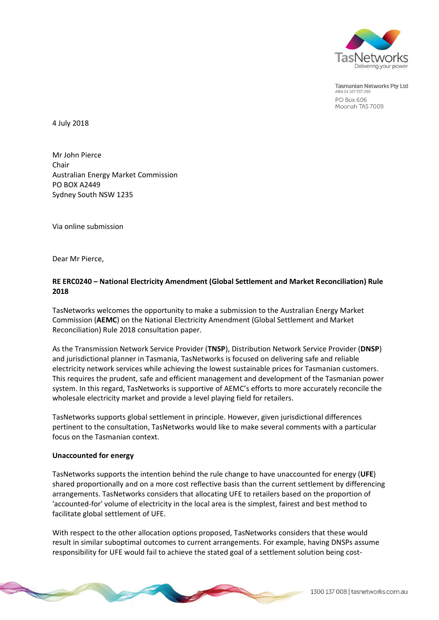

**Tasmanian Networks Pty Ltd** ABN 24 167 357 29 **PO Box 606** Moonah TAS 7009

4 July 2018

Mr John Pierce Chair Australian Energy Market Commission PO BOX A2449 Sydney South NSW 1235

Via online submission

Dear Mr Pierce,

# **RE ERC0240 – National Electricity Amendment (Global Settlement and Market Reconciliation) Rule 2018**

TasNetworks welcomes the opportunity to make a submission to the Australian Energy Market Commission (**AEMC**) on the National Electricity Amendment (Global Settlement and Market Reconciliation) Rule 2018 consultation paper.

As the Transmission Network Service Provider (**TNSP**), Distribution Network Service Provider (**DNSP**) and jurisdictional planner in Tasmania, TasNetworks is focused on delivering safe and reliable electricity network services while achieving the lowest sustainable prices for Tasmanian customers. This requires the prudent, safe and efficient management and development of the Tasmanian power system. In this regard, TasNetworks is supportive of AEMC's efforts to more accurately reconcile the wholesale electricity market and provide a level playing field for retailers.

TasNetworks supports global settlement in principle. However, given jurisdictional differences pertinent to the consultation, TasNetworks would like to make several comments with a particular focus on the Tasmanian context.

#### **Unaccounted for energy**

TasNetworks supports the intention behind the rule change to have unaccounted for energy (**UFE**) shared proportionally and on a more cost reflective basis than the current settlement by differencing arrangements. TasNetworks considers that allocating UFE to retailers based on the proportion of 'accounted-for' volume of electricity in the local area is the simplest, fairest and best method to facilitate global settlement of UFE.

With respect to the other allocation options proposed, TasNetworks considers that these would result in similar suboptimal outcomes to current arrangements. For example, having DNSPs assume responsibility for UFE would fail to achieve the stated goal of a settlement solution being cost-

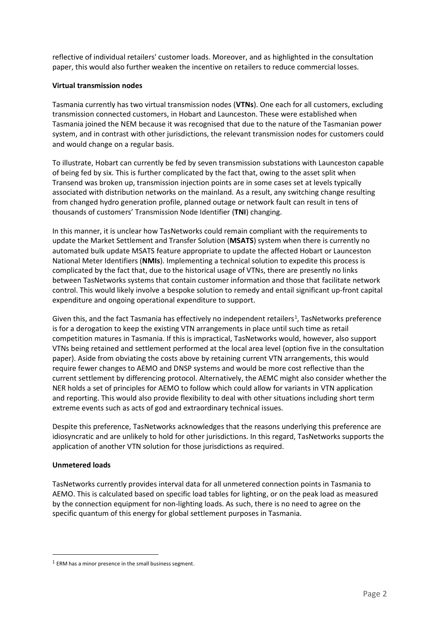reflective of individual retailers' customer loads. Moreover, and as highlighted in the consultation paper, this would also further weaken the incentive on retailers to reduce commercial losses.

## **Virtual transmission nodes**

Tasmania currently has two virtual transmission nodes (**VTNs**). One each for all customers, excluding transmission connected customers, in Hobart and Launceston. These were established when Tasmania joined the NEM because it was recognised that due to the nature of the Tasmanian power system, and in contrast with other jurisdictions, the relevant transmission nodes for customers could and would change on a regular basis.

To illustrate, Hobart can currently be fed by seven transmission substations with Launceston capable of being fed by six. This is further complicated by the fact that, owing to the asset split when Transend was broken up, transmission injection points are in some cases set at levels typically associated with distribution networks on the mainland. As a result, any switching change resulting from changed hydro generation profile, planned outage or network fault can result in tens of thousands of customers' Transmission Node Identifier (**TNI**) changing.

In this manner, it is unclear how TasNetworks could remain compliant with the requirements to update the Market Settlement and Transfer Solution (**MSATS**) system when there is currently no automated bulk update MSATS feature appropriate to update the affected Hobart or Launceston National Meter Identifiers (**NMIs**). Implementing a technical solution to expedite this process is complicated by the fact that, due to the historical usage of VTNs, there are presently no links between TasNetworks systems that contain customer information and those that facilitate network control. This would likely involve a bespoke solution to remedy and entail significant up-front capital expenditure and ongoing operational expenditure to support.

Given this, and the fact Tasmania has effectively no independent retailers<sup>1</sup>, TasNetworks preference is for a derogation to keep the existing VTN arrangements in place until such time as retail competition matures in Tasmania. If this is impractical, TasNetworks would, however, also support VTNs being retained and settlement performed at the local area level (option five in the consultation paper). Aside from obviating the costs above by retaining current VTN arrangements, this would require fewer changes to AEMO and DNSP systems and would be more cost reflective than the current settlement by differencing protocol. Alternatively, the AEMC might also consider whether the NER holds a set of principles for AEMO to follow which could allow for variants in VTN application and reporting. This would also provide flexibility to deal with other situations including short term extreme events such as acts of god and extraordinary technical issues.

Despite this preference, TasNetworks acknowledges that the reasons underlying this preference are idiosyncratic and are unlikely to hold for other jurisdictions. In this regard, TasNetworks supports the application of another VTN solution for those jurisdictions as required.

# **Unmetered loads**

 $\overline{a}$ 

TasNetworks currently provides interval data for all unmetered connection points in Tasmania to AEMO. This is calculated based on specific load tables for lighting, or on the peak load as measured by the connection equipment for non-lighting loads. As such, there is no need to agree on the specific quantum of this energy for global settlement purposes in Tasmania.

 $1$  ERM has a minor presence in the small business segment.